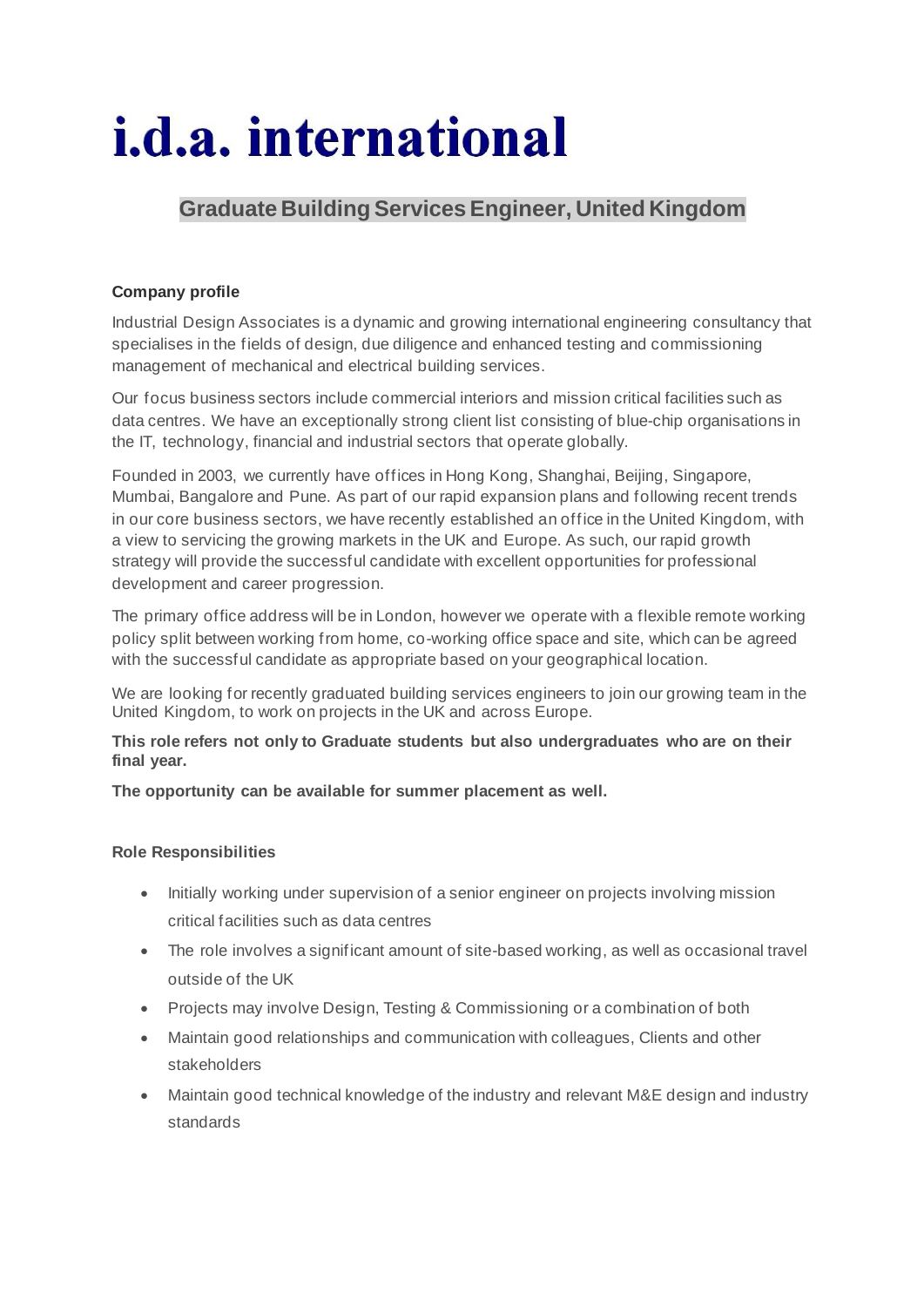# *i.d.a.* international

## **Graduate Building Services Engineer, United Kingdom**

### **Company profile**

Industrial Design Associates is a dynamic and growing international engineering consultancy that specialises in the fields of design, due diligence and enhanced testing and commissioning management of mechanical and electrical building services.

Our focus business sectors include commercial interiors and mission critical facilities such as data centres. We have an exceptionally strong client list consisting of blue-chip organisations in the IT, technology, financial and industrial sectors that operate globally.

Founded in 2003, we currently have offices in Hong Kong, Shanghai, Beijing, Singapore, Mumbai, Bangalore and Pune. As part of our rapid expansion plans and following recent trends in our core business sectors, we have recently established an office in the United Kingdom, with a view to servicing the growing markets in the UK and Europe. As such, our rapid growth strategy will provide the successful candidate with excellent opportunities for professional development and career progression.

The primary office address will be in London, however we operate with a flexible remote working policy split between working from home, co-working office space and site, which can be agreed with the successful candidate as appropriate based on your geographical location.

We are looking for recently graduated building services engineers to join our growing team in the United Kingdom, to work on projects in the UK and across Europe.

**This role refers not only to Graduate students but also undergraduates who are on their final year.**

**The opportunity can be available for summer placement as well.**

#### **Role Responsibilities**

- Initially working under supervision of a senior engineer on projects involving mission critical facilities such as data centres
- The role involves a significant amount of site-based working, as well as occasional travel outside of the UK
- Projects may involve Design, Testing & Commissioning or a combination of both
- Maintain good relationships and communication with colleagues, Clients and other stakeholders
- Maintain good technical knowledge of the industry and relevant M&E design and industry standards